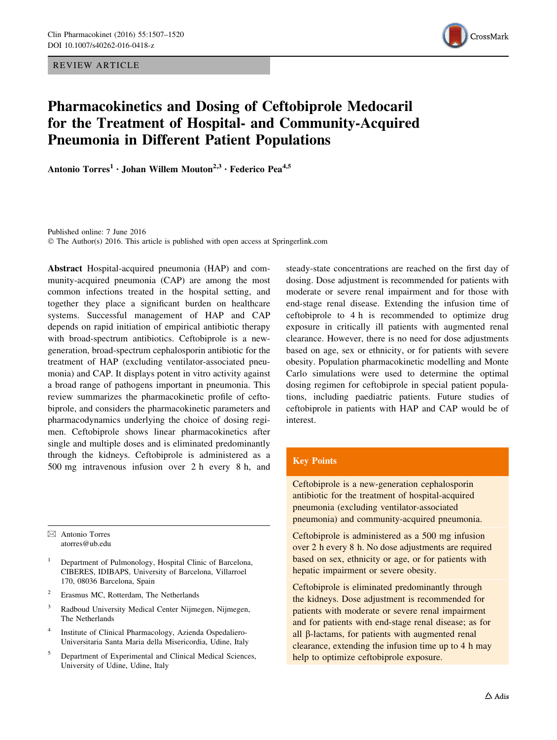REVIEW ARTICLE



# Pharmacokinetics and Dosing of Ceftobiprole Medocaril for the Treatment of Hospital- and Community-Acquired Pneumonia in Different Patient Populations

Antonio  $Torres^1 \cdot$  Johan Willem Mouton<sup>2,3</sup>  $\cdot$  Federico Pea<sup>4,5</sup>

Published online: 7 June 2016 © The Author(s) 2016. This article is published with open access at Springerlink.com

Abstract Hospital-acquired pneumonia (HAP) and community-acquired pneumonia (CAP) are among the most common infections treated in the hospital setting, and together they place a significant burden on healthcare systems. Successful management of HAP and CAP depends on rapid initiation of empirical antibiotic therapy with broad-spectrum antibiotics. Ceftobiprole is a newgeneration, broad-spectrum cephalosporin antibiotic for the treatment of HAP (excluding ventilator-associated pneumonia) and CAP. It displays potent in vitro activity against a broad range of pathogens important in pneumonia. This review summarizes the pharmacokinetic profile of ceftobiprole, and considers the pharmacokinetic parameters and pharmacodynamics underlying the choice of dosing regimen. Ceftobiprole shows linear pharmacokinetics after single and multiple doses and is eliminated predominantly through the kidneys. Ceftobiprole is administered as a 500 mg intravenous infusion over 2 h every 8 h, and

 $\boxtimes$  Antonio Torres atorres@ub.edu

- <sup>1</sup> Department of Pulmonology, Hospital Clinic of Barcelona, CIBERES, IDIBAPS, University of Barcelona, Villarroel 170, 08036 Barcelona, Spain
- <sup>2</sup> Erasmus MC, Rotterdam, The Netherlands
- <sup>3</sup> Radboud University Medical Center Nijmegen, Nijmegen, The Netherlands
- <sup>4</sup> Institute of Clinical Pharmacology, Azienda Ospedaliero-Universitaria Santa Maria della Misericordia, Udine, Italy
- <sup>5</sup> Department of Experimental and Clinical Medical Sciences, University of Udine, Udine, Italy

steady-state concentrations are reached on the first day of dosing. Dose adjustment is recommended for patients with moderate or severe renal impairment and for those with end-stage renal disease. Extending the infusion time of ceftobiprole to 4 h is recommended to optimize drug exposure in critically ill patients with augmented renal clearance. However, there is no need for dose adjustments based on age, sex or ethnicity, or for patients with severe obesity. Population pharmacokinetic modelling and Monte Carlo simulations were used to determine the optimal dosing regimen for ceftobiprole in special patient populations, including paediatric patients. Future studies of ceftobiprole in patients with HAP and CAP would be of interest.

# Key Points

Ceftobiprole is a new-generation cephalosporin antibiotic for the treatment of hospital-acquired pneumonia (excluding ventilator-associated pneumonia) and community-acquired pneumonia.

Ceftobiprole is administered as a 500 mg infusion over 2 h every 8 h. No dose adjustments are required based on sex, ethnicity or age, or for patients with hepatic impairment or severe obesity.

Ceftobiprole is eliminated predominantly through the kidneys. Dose adjustment is recommended for patients with moderate or severe renal impairment and for patients with end-stage renal disease; as for all b-lactams, for patients with augmented renal clearance, extending the infusion time up to 4 h may help to optimize ceftobiprole exposure.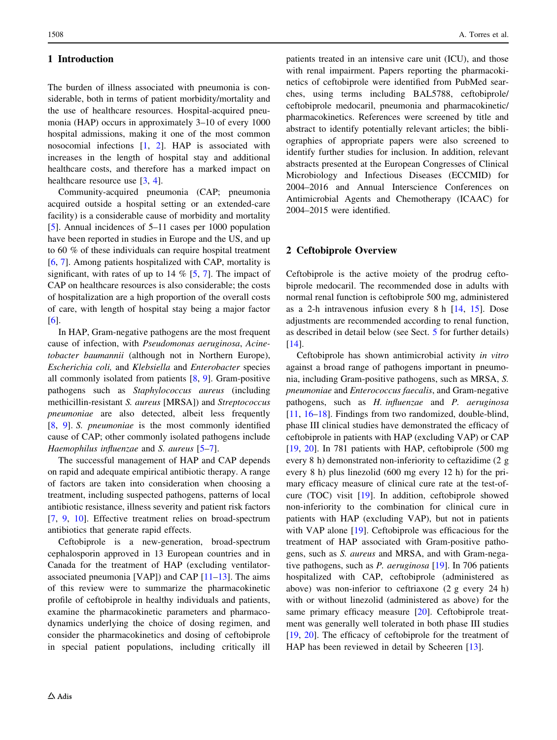## 1 Introduction

The burden of illness associated with pneumonia is considerable, both in terms of patient morbidity/mortality and the use of healthcare resources. Hospital-acquired pneumonia (HAP) occurs in approximately 3–10 of every 1000 hospital admissions, making it one of the most common nosocomial infections [[1,](#page-11-0) [2\]](#page-11-0). HAP is associated with increases in the length of hospital stay and additional healthcare costs, and therefore has a marked impact on healthcare resource use [[3,](#page-11-0) [4\]](#page-11-0).

Community-acquired pneumonia (CAP; pneumonia acquired outside a hospital setting or an extended-care facility) is a considerable cause of morbidity and mortality [\[5](#page-11-0)]. Annual incidences of 5–11 cases per 1000 population have been reported in studies in Europe and the US, and up to 60 % of these individuals can require hospital treatment [\[6](#page-11-0), [7\]](#page-11-0). Among patients hospitalized with CAP, mortality is significant, with rates of up to  $14 \%$  [\[5](#page-11-0), [7](#page-11-0)]. The impact of CAP on healthcare resources is also considerable; the costs of hospitalization are a high proportion of the overall costs of care, with length of hospital stay being a major factor [\[6](#page-11-0)].

In HAP, Gram-negative pathogens are the most frequent cause of infection, with Pseudomonas aeruginosa, Acinetobacter baumannii (although not in Northern Europe), Escherichia coli, and Klebsiella and Enterobacter species all commonly isolated from patients [\[8](#page-11-0), [9](#page-11-0)]. Gram-positive pathogens such as Staphylococcus aureus (including methicillin-resistant S. aureus [MRSA]) and Streptococcus pneumoniae are also detected, albeit less frequently [\[8](#page-11-0), [9](#page-11-0)]. S. pneumoniae is the most commonly identified cause of CAP; other commonly isolated pathogens include Haemophilus influenzae and S. aureus [[5–7\]](#page-11-0).

The successful management of HAP and CAP depends on rapid and adequate empirical antibiotic therapy. A range of factors are taken into consideration when choosing a treatment, including suspected pathogens, patterns of local antibiotic resistance, illness severity and patient risk factors [\[7](#page-11-0), [9,](#page-11-0) [10](#page-11-0)]. Effective treatment relies on broad-spectrum antibiotics that generate rapid effects.

Ceftobiprole is a new-generation, broad-spectrum cephalosporin approved in 13 European countries and in Canada for the treatment of HAP (excluding ventilatorassociated pneumonia [VAP]) and CAP [\[11](#page-11-0)[–13](#page-12-0)]. The aims of this review were to summarize the pharmacokinetic profile of ceftobiprole in healthy individuals and patients, examine the pharmacokinetic parameters and pharmacodynamics underlying the choice of dosing regimen, and consider the pharmacokinetics and dosing of ceftobiprole in special patient populations, including critically ill patients treated in an intensive care unit (ICU), and those with renal impairment. Papers reporting the pharmacokinetics of ceftobiprole were identified from PubMed searches, using terms including BAL5788, ceftobiprole/ ceftobiprole medocaril, pneumonia and pharmacokinetic/ pharmacokinetics. References were screened by title and abstract to identify potentially relevant articles; the bibliographies of appropriate papers were also screened to identify further studies for inclusion. In addition, relevant abstracts presented at the European Congresses of Clinical Microbiology and Infectious Diseases (ECCMID) for 2004–2016 and Annual Interscience Conferences on Antimicrobial Agents and Chemotherapy (ICAAC) for 2004–2015 were identified.

## 2 Ceftobiprole Overview

Ceftobiprole is the active moiety of the prodrug ceftobiprole medocaril. The recommended dose in adults with normal renal function is ceftobiprole 500 mg, administered as a 2-h intravenous infusion every 8 h [[14](#page-12-0), [15\]](#page-12-0). Dose adjustments are recommended according to renal function, as described in detail below (see Sect. [5](#page-6-0) for further details) [\[14](#page-12-0)].

Ceftobiprole has shown antimicrobial activity in vitro against a broad range of pathogens important in pneumonia, including Gram-positive pathogens, such as MRSA, S. pneumoniae and Enterococcus faecalis, and Gram-negative pathogens, such as H. influenzae and P. aeruginosa [\[11](#page-11-0), [16–18](#page-12-0)]. Findings from two randomized, double-blind, phase III clinical studies have demonstrated the efficacy of ceftobiprole in patients with HAP (excluding VAP) or CAP [\[19](#page-12-0), [20\]](#page-12-0). In 781 patients with HAP, ceftobiprole (500 mg every 8 h) demonstrated non-inferiority to ceftazidime (2 g every 8 h) plus linezolid (600 mg every 12 h) for the primary efficacy measure of clinical cure rate at the test-ofcure (TOC) visit [[19\]](#page-12-0). In addition, ceftobiprole showed non-inferiority to the combination for clinical cure in patients with HAP (excluding VAP), but not in patients with VAP alone [[19\]](#page-12-0). Ceftobiprole was efficacious for the treatment of HAP associated with Gram-positive pathogens, such as S. aureus and MRSA, and with Gram-negative pathogens, such as *P. aeruginosa* [\[19](#page-12-0)]. In 706 patients hospitalized with CAP, ceftobiprole (administered as above) was non-inferior to ceftriaxone (2 g every 24 h) with or without linezolid (administered as above) for the same primary efficacy measure [[20\]](#page-12-0). Ceftobiprole treatment was generally well tolerated in both phase III studies [\[19](#page-12-0), [20\]](#page-12-0). The efficacy of ceftobiprole for the treatment of HAP has been reviewed in detail by Scheeren [[13\]](#page-12-0).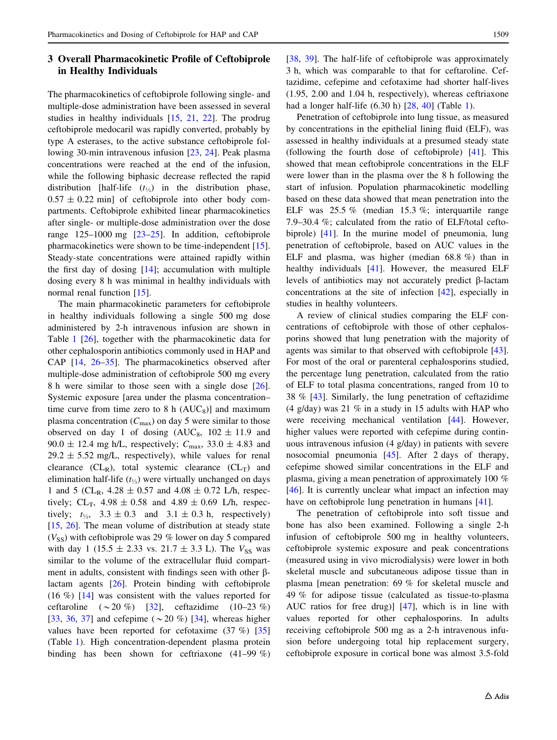# 3 Overall Pharmacokinetic Profile of Ceftobiprole in Healthy Individuals

The pharmacokinetics of ceftobiprole following single- and multiple-dose administration have been assessed in several studies in healthy individuals [[15,](#page-12-0) [21,](#page-12-0) [22\]](#page-12-0). The prodrug ceftobiprole medocaril was rapidly converted, probably by type A esterases, to the active substance ceftobiprole following 30-min intravenous infusion [\[23](#page-12-0), [24](#page-12-0)]. Peak plasma concentrations were reached at the end of the infusion, while the following biphasic decrease reflected the rapid distribution [half-life  $(t_{\frac{1}{2}})$  in the distribution phase,  $0.57 \pm 0.22$  min] of ceftobiprole into other body compartments. Ceftobiprole exhibited linear pharmacokinetics after single- or multiple-dose administration over the dose range 125–1000 mg [\[23](#page-12-0)–[25\]](#page-12-0). In addition, ceftobiprole pharmacokinetics were shown to be time-independent [\[15](#page-12-0)]. Steady-state concentrations were attained rapidly within the first day of dosing [\[14](#page-12-0)]; accumulation with multiple dosing every 8 h was minimal in healthy individuals with normal renal function [\[15](#page-12-0)].

The main pharmacokinetic parameters for ceftobiprole in healthy individuals following a single 500 mg dose administered by 2-h intravenous infusion are shown in Table [1](#page-3-0) [[26\]](#page-12-0), together with the pharmacokinetic data for other cephalosporin antibiotics commonly used in HAP and CAP [\[14](#page-12-0), [26–35](#page-12-0)]. The pharmacokinetics observed after multiple-dose administration of ceftobiprole 500 mg every 8 h were similar to those seen with a single dose [\[26](#page-12-0)]. Systemic exposure [area under the plasma concentration– time curve from time zero to 8 h  $(AUC_8)$ ] and maximum plasma concentration  $(C_{\text{max}})$  on day 5 were similar to those observed on day 1 of dosing  $(AUC_8, 102 \pm 11.9)$  and 90.0  $\pm$  12.4 mg h/L, respectively;  $C_{\text{max}}$ , 33.0  $\pm$  4.83 and  $29.2 \pm 5.52$  mg/L, respectively), while values for renal clearance  $(CL_R)$ , total systemic clearance  $(CL_T)$  and elimination half-life  $(t_{\frac{1}{2}})$  were virtually unchanged on days 1 and 5 (CL<sub>R</sub>,  $4.28 \pm 0.57$  and  $4.08 \pm 0.72$  L/h, respectively;  $CL_T$ ,  $4.98 \pm 0.58$  and  $4.89 \pm 0.69$  L/h, respectively;  $t_{\frac{1}{2}}$ ,  $3.3 \pm 0.3$  and  $3.1 \pm 0.3$  h, respectively) [\[15](#page-12-0), [26\]](#page-12-0). The mean volume of distribution at steady state  $(V_{SS})$  with ceftobiprole was 29 % lower on day 5 compared with day 1 (15.5  $\pm$  2.33 vs. 21.7  $\pm$  3.3 L). The  $V_{SS}$  was similar to the volume of the extracellular fluid compartment in adults, consistent with findings seen with other  $\beta$ lactam agents [\[26](#page-12-0)]. Protein binding with ceftobiprole (16 %) [\[14](#page-12-0)] was consistent with the values reported for ceftaroline  $(\sim 20 \%)$  [\[32](#page-12-0)], ceftazidime (10–23 %) [\[33](#page-12-0), [36,](#page-12-0) [37\]](#page-12-0) and cefepime  $({\sim}20 \%)$  [[34\]](#page-12-0), whereas higher values have been reported for cefotaxime (37 %) [[35\]](#page-12-0) (Table [1](#page-3-0)). High concentration-dependent plasma protein binding has been shown for ceftriaxone (41–99 %) [\[38](#page-12-0), [39\]](#page-12-0). The half-life of ceftobiprole was approximately 3 h, which was comparable to that for ceftaroline. Ceftazidime, cefepime and cefotaxime had shorter half-lives (1.95, 2.00 and 1.04 h, respectively), whereas ceftriaxone had a longer half-life (6.30 h) [\[28](#page-12-0), [40](#page-12-0)] (Table [1](#page-3-0)).

Penetration of ceftobiprole into lung tissue, as measured by concentrations in the epithelial lining fluid (ELF), was assessed in healthy individuals at a presumed steady state (following the fourth dose of ceftobiprole) [\[41](#page-12-0)]. This showed that mean ceftobiprole concentrations in the ELF were lower than in the plasma over the 8 h following the start of infusion. Population pharmacokinetic modelling based on these data showed that mean penetration into the ELF was 25.5 % (median 15.3 %; interquartile range 7.9–30.4 %; calculated from the ratio of ELF/total ceftobiprole) [\[41](#page-12-0)]. In the murine model of pneumonia, lung penetration of ceftobiprole, based on AUC values in the ELF and plasma, was higher (median 68.8 %) than in healthy individuals [[41\]](#page-12-0). However, the measured ELF levels of antibiotics may not accurately predict  $\beta$ -lactam concentrations at the site of infection [[42\]](#page-12-0), especially in studies in healthy volunteers.

A review of clinical studies comparing the ELF concentrations of ceftobiprole with those of other cephalosporins showed that lung penetration with the majority of agents was similar to that observed with ceftobiprole [\[43](#page-12-0)]. For most of the oral or parenteral cephalosporins studied, the percentage lung penetration, calculated from the ratio of ELF to total plasma concentrations, ranged from 10 to 38 % [[43\]](#page-12-0). Similarly, the lung penetration of ceftazidime (4 g/day) was 21 % in a study in 15 adults with HAP who were receiving mechanical ventilation [\[44](#page-12-0)]. However, higher values were reported with cefepime during continuous intravenous infusion (4 g/day) in patients with severe nosocomial pneumonia [\[45](#page-12-0)]. After 2 days of therapy, cefepime showed similar concentrations in the ELF and plasma, giving a mean penetration of approximately 100 % [\[46](#page-13-0)]. It is currently unclear what impact an infection may have on ceftobiprole lung penetration in humans [[41\]](#page-12-0).

The penetration of ceftobiprole into soft tissue and bone has also been examined. Following a single 2-h infusion of ceftobiprole 500 mg in healthy volunteers, ceftobiprole systemic exposure and peak concentrations (measured using in vivo microdialysis) were lower in both skeletal muscle and subcutaneous adipose tissue than in plasma [mean penetration: 69 % for skeletal muscle and 49 % for adipose tissue (calculated as tissue-to-plasma AUC ratios for free drug)] [[47\]](#page-13-0), which is in line with values reported for other cephalosporins. In adults receiving ceftobiprole 500 mg as a 2-h intravenous infusion before undergoing total hip replacement surgery, ceftobiprole exposure in cortical bone was almost 3.5-fold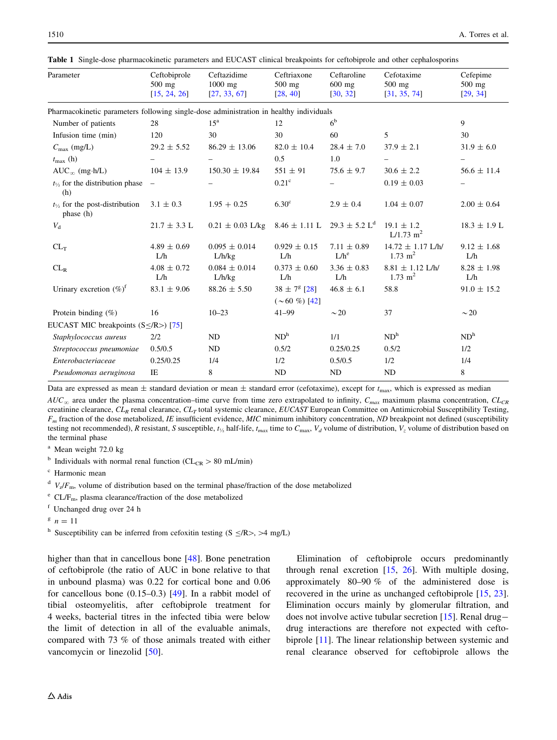| Parameter                                                                              | Ceftobiprole<br>$500$ mg<br>[15, 24, 26] | Ceftazidime<br>$1000$ mg<br>[27, 33, 67] | Ceftriaxone<br>$500$ mg<br>[28, 40]      | Ceftaroline<br>$600$ mg<br>[30, 32] | Cefotaxime<br>$500$ mg<br>[31, 35, 74]      | Cefepime<br>$500$ mg<br>[29, 34] |
|----------------------------------------------------------------------------------------|------------------------------------------|------------------------------------------|------------------------------------------|-------------------------------------|---------------------------------------------|----------------------------------|
| Pharmacokinetic parameters following single-dose administration in healthy individuals |                                          |                                          |                                          |                                     |                                             |                                  |
| Number of patients                                                                     | 28                                       | 15 <sup>a</sup>                          | 12                                       | 6 <sup>b</sup>                      |                                             | 9                                |
| Infusion time (min)                                                                    | 120                                      | 30                                       | 30                                       | 60                                  | 5                                           | 30                               |
| $C_{\text{max}}$ (mg/L)                                                                | $29.2 \pm 5.52$                          | $86.29 \pm 13.06$                        | $82.0 \pm 10.4$                          | $28.4 \pm 7.0$                      | $37.9 \pm 2.1$                              | $31.9 \pm 6.0$                   |
| $t_{\rm max}$ (h)                                                                      |                                          |                                          | 0.5                                      | 1.0                                 |                                             |                                  |
| $AUC_{\infty}$ (mg·h/L)                                                                | $104 \pm 13.9$                           | $150.30 \pm 19.84$                       | $551 \pm 91$                             | $75.6 \pm 9.7$                      | $30.6 \pm 2.2$                              | $56.6 \pm 11.4$                  |
| $t_{1/2}$ for the distribution phase<br>(h)                                            |                                          |                                          | 0.21 <sup>c</sup>                        |                                     | $0.19 \pm 0.03$                             |                                  |
| $t_{\frac{1}{2}}$ for the post-distribution<br>phase (h)                               | $3.1 \pm 0.3$                            | $1.95 + 0.25$                            | 6.30 <sup>c</sup>                        | $2.9 \pm 0.4$                       | $1.04 \pm 0.07$                             | $2.00 \pm 0.64$                  |
| $V_{\rm d}$                                                                            | $21.7 \pm 3.3$ L                         | $0.21 \pm 0.03$ L/kg                     | $8.46 \pm 1.11$ L                        | $29.3 \pm 5.2 \text{ L}^d$          | $19.1 \pm 1.2$<br>$L/1.73$ m <sup>2</sup>   | $18.3 \pm 1.9$ L                 |
| $CL_T$                                                                                 | $4.89 \pm 0.69$<br>L/h                   | $0.095 \pm 0.014$<br>L/h/kg              | $0.929 \pm 0.15$<br>L/h                  | $7.11 \pm 0.89$<br>$L/h^e$          | $14.72 \pm 1.17$ L/h/<br>$1.73 \text{ m}^2$ | $9.12 \pm 1.68$<br>L/h           |
| $CL_R$                                                                                 | $4.08 \pm 0.72$<br>L/h                   | $0.084 \pm 0.014$<br>L/h/kg              | $0.373 \pm 0.60$<br>L/h                  | $3.36 \pm 0.83$<br>L/h              | $8.81 \pm 1.12$ L/h/<br>$1.73 \text{ m}^2$  | $8.28 \pm 1.98$<br>L/h           |
| Urinary excretion $(\%)^f$                                                             | $83.1 \pm 9.06$                          | $88.26 \pm 5.50$                         | $38 \pm 7^8$ [28]<br>$(\sim 60 \%)$ [42] | $46.8 \pm 6.1$                      | 58.8                                        | $91.0 \pm 15.2$                  |
| Protein binding $(\%)$                                                                 | 16                                       | $10 - 23$                                | $41 - 99$                                | $\sim$ 20                           | 37                                          | $\sim$ 20                        |
| EUCAST MIC breakpoints $(S \le R)$ [75]                                                |                                          |                                          |                                          |                                     |                                             |                                  |
| Staphylococcus aureus                                                                  | 2/2                                      | ND.                                      | ND <sup>h</sup>                          | 1/1                                 | ND <sup>h</sup>                             | ND <sup>h</sup>                  |
| Streptococcus pneumoniae                                                               | 0.5/0.5                                  | ND                                       | 0.5/2                                    | 0.25/0.25                           | 0.5/2                                       | 1/2                              |
| Enterobacteriaceae                                                                     | 0.25/0.25                                | 1/4                                      | 1/2                                      | 0.5/0.5                             | 1/2                                         | 1/4                              |
| Pseudomonas aeruginosa                                                                 | IE                                       | 8                                        | N <sub>D</sub>                           | ND                                  | <b>ND</b>                                   | 8                                |

<span id="page-3-0"></span>

|  |  |  | <b>Table 1</b> Single-dose pharmacokinetic parameters and EUCAST clinical breakpoints for ceftobiprole and other cephalosporins |  |  |  |
|--|--|--|---------------------------------------------------------------------------------------------------------------------------------|--|--|--|
|--|--|--|---------------------------------------------------------------------------------------------------------------------------------|--|--|--|

Data are expressed as mean  $\pm$  standard deviation or mean  $\pm$  standard error (cefotaxime), except for  $t_{\text{max}}$ , which is expressed as median

 $AUC_{\infty}$  area under the plasma concentration–time curve from time zero extrapolated to infinity,  $C_{max}$  maximum plasma concentration,  $CL_{CR}$ creatinine clearance,  $CL<sub>R</sub>$  renal clearance,  $CL<sub>T</sub>$  total systemic clearance, EUCAST European Committee on Antimicrobial Susceptibility Testing,  $F_m$  fraction of the dose metabolized, IE insufficient evidence, MIC minimum inhibitory concentration, ND breakpoint not defined (susceptibility testing not recommended), R resistant, S susceptible,  $t_{\gamma\lambda}$  half-life,  $t_{max}$  time to  $C_{max}$ ,  $V_d$  volume of distribution,  $V_z$  volume of distribution based on the terminal phase

<sup>a</sup> Mean weight 72.0 kg

<sup>b</sup> Individuals with normal renal function ( $CL_{CR} > 80$  mL/min)

<sup>c</sup> Harmonic mean

 $d V_z/F_m$ , volume of distribution based on the terminal phase/fraction of the dose metabolized

 $e$  CL/F<sub>m</sub>, plasma clearance/fraction of the dose metabolized

<sup>f</sup> Unchanged drug over 24 h

 $n = 11$ 

<sup>h</sup> Susceptibility can be inferred from cefoxitin testing (S  $\leq$ /R>, >4 mg/L)

higher than that in cancellous bone [[48\]](#page-13-0). Bone penetration of ceftobiprole (the ratio of AUC in bone relative to that in unbound plasma) was 0.22 for cortical bone and 0.06 for cancellous bone (0.15–0.3) [[49\]](#page-13-0). In a rabbit model of tibial osteomyelitis, after ceftobiprole treatment for 4 weeks, bacterial titres in the infected tibia were below the limit of detection in all of the evaluable animals, compared with 73 % of those animals treated with either vancomycin or linezolid [[50\]](#page-13-0).

Elimination of ceftobiprole occurs predominantly through renal excretion  $[15, 26]$  $[15, 26]$  $[15, 26]$ . With multiple dosing, approximately 80–90 % of the administered dose is recovered in the urine as unchanged ceftobiprole [[15,](#page-12-0) [23](#page-12-0)]. Elimination occurs mainly by glomerular filtration, and does not involve active tubular secretion [[15\]](#page-12-0). Renal drugdrug interactions are therefore not expected with ceftobiprole [[11\]](#page-11-0). The linear relationship between systemic and renal clearance observed for ceftobiprole allows the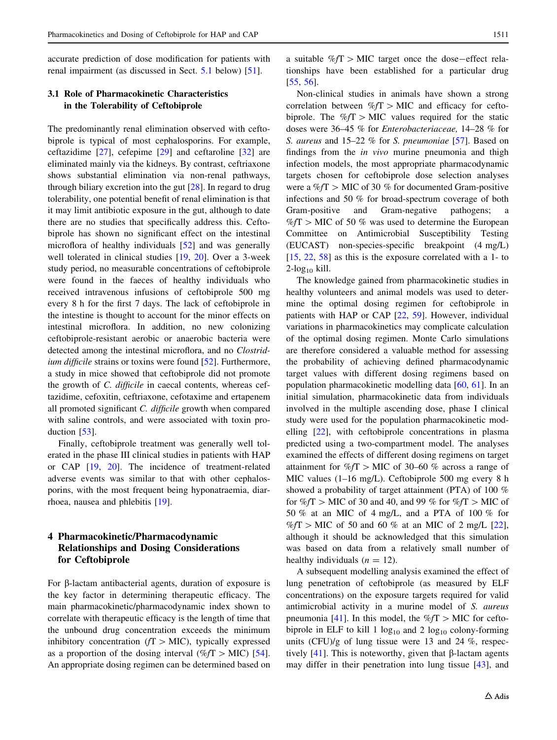<span id="page-4-0"></span>accurate prediction of dose modification for patients with renal impairment (as discussed in Sect. 5.1 below) [[51\]](#page-13-0).

# 3.1 Role of Pharmacokinetic Characteristics in the Tolerability of Ceftobiprole

The predominantly renal elimination observed with ceftobiprole is typical of most cephalosporins. For example, ceftazidime [[27\]](#page-12-0), cefepime [\[29](#page-12-0)] and ceftaroline [[32\]](#page-12-0) are eliminated mainly via the kidneys. By contrast, ceftriaxone shows substantial elimination via non-renal pathways, through biliary excretion into the gut  $[28]$  $[28]$ . In regard to drug tolerability, one potential benefit of renal elimination is that it may limit antibiotic exposure in the gut, although to date there are no studies that specifically address this. Ceftobiprole has shown no significant effect on the intestinal microflora of healthy individuals [[52\]](#page-13-0) and was generally well tolerated in clinical studies [\[19](#page-12-0), [20\]](#page-12-0). Over a 3-week study period, no measurable concentrations of ceftobiprole were found in the faeces of healthy individuals who received intravenous infusions of ceftobiprole 500 mg every 8 h for the first 7 days. The lack of ceftobiprole in the intestine is thought to account for the minor effects on intestinal microflora. In addition, no new colonizing ceftobiprole-resistant aerobic or anaerobic bacteria were detected among the intestinal microflora, and no Clostrid-ium difficile strains or toxins were found [\[52](#page-13-0)]. Furthermore, a study in mice showed that ceftobiprole did not promote the growth of C. difficile in caecal contents, whereas ceftazidime, cefoxitin, ceftriaxone, cefotaxime and ertapenem all promoted significant C. difficile growth when compared with saline controls, and were associated with toxin production [[53\]](#page-13-0).

Finally, ceftobiprole treatment was generally well tolerated in the phase III clinical studies in patients with HAP or CAP [[19,](#page-12-0) [20\]](#page-12-0). The incidence of treatment-related adverse events was similar to that with other cephalosporins, with the most frequent being hyponatraemia, diarrhoea, nausea and phlebitis [[19\]](#page-12-0).

# 4 Pharmacokinetic/Pharmacodynamic Relationships and Dosing Considerations for Ceftobiprole

For  $\beta$ -lactam antibacterial agents, duration of exposure is the key factor in determining therapeutic efficacy. The main pharmacokinetic/pharmacodynamic index shown to correlate with therapeutic efficacy is the length of time that the unbound drug concentration exceeds the minimum inhibitory concentration ( $fT > MIC$ ), typically expressed as a proportion of the dosing interval (% $fT > MIC$ ) [\[54](#page-13-0)]. An appropriate dosing regimen can be determined based on a suitable  $\%f$   $\geq$  MIC target once the dose-effect relationships have been established for a particular drug [\[55](#page-13-0), [56](#page-13-0)].

Non-clinical studies in animals have shown a strong correlation between  $\%fT > MIC$  and efficacy for ceftobiprole. The  $\%fT > MIC$  values required for the static doses were 36–45 % for Enterobacteriaceae, 14–28 % for S. aureus and 15–22 % for S. pneumoniae [\[57](#page-13-0)]. Based on findings from the in vivo murine pneumonia and thigh infection models, the most appropriate pharmacodynamic targets chosen for ceftobiprole dose selection analyses were a % $fT >$  MIC of 30 % for documented Gram-positive infections and 50 % for broad-spectrum coverage of both Gram-positive and Gram-negative pathogens; a  $\%fT$  > MIC of 50 % was used to determine the European Committee on Antimicrobial Susceptibility Testing (EUCAST) non-species-specific breakpoint (4 mg/L) [\[15](#page-12-0), [22](#page-12-0), [58](#page-13-0)] as this is the exposure correlated with a 1- to  $2$ -log<sub>10</sub> kill.

The knowledge gained from pharmacokinetic studies in healthy volunteers and animal models was used to determine the optimal dosing regimen for ceftobiprole in patients with HAP or CAP [[22,](#page-12-0) [59](#page-13-0)]. However, individual variations in pharmacokinetics may complicate calculation of the optimal dosing regimen. Monte Carlo simulations are therefore considered a valuable method for assessing the probability of achieving defined pharmacodynamic target values with different dosing regimens based on population pharmacokinetic modelling data [[60,](#page-13-0) [61](#page-13-0)]. In an initial simulation, pharmacokinetic data from individuals involved in the multiple ascending dose, phase I clinical study were used for the population pharmacokinetic modelling [\[22](#page-12-0)], with ceftobiprole concentrations in plasma predicted using a two-compartment model. The analyses examined the effects of different dosing regimens on target attainment for  $\%f$  MIC of 30–60 % across a range of MIC values (1–16 mg/L). Ceftobiprole 500 mg every 8 h showed a probability of target attainment (PTA) of 100 % for  $\%fT >$  MIC of 30 and 40, and 99 % for  $\%fT >$  MIC of 50 % at an MIC of 4 mg/L, and a PTA of 100 % for  $\%fT$  > MIC of 50 and 60 % at an MIC of 2 mg/L [\[22](#page-12-0)], although it should be acknowledged that this simulation was based on data from a relatively small number of healthy individuals  $(n = 12)$ .

A subsequent modelling analysis examined the effect of lung penetration of ceftobiprole (as measured by ELF concentrations) on the exposure targets required for valid antimicrobial activity in a murine model of S. aureus pneumonia [\[41](#page-12-0)]. In this model, the  $\%fT >$  MIC for ceftobiprole in ELF to kill 1  $log_{10}$  and 2  $log_{10}$  colony-forming units (CFU)/g of lung tissue were 13 and 24 %, respectively  $[41]$  $[41]$ . This is noteworthy, given that  $\beta$ -lactam agents may differ in their penetration into lung tissue [[43\]](#page-12-0), and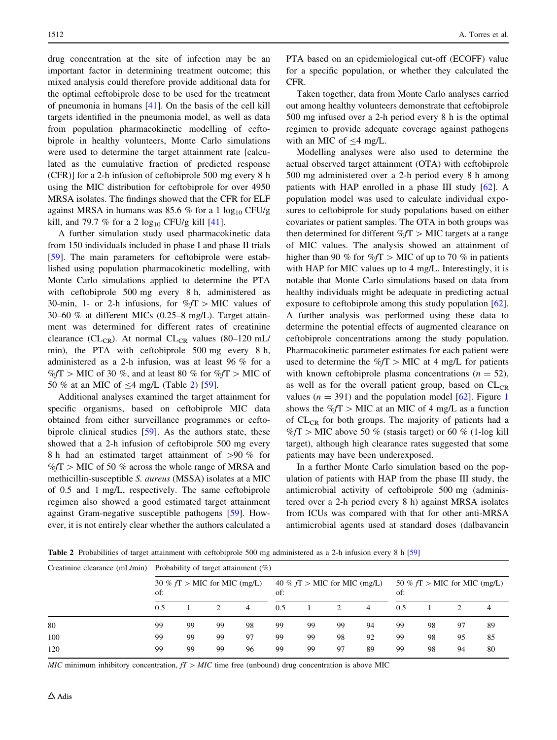drug concentration at the site of infection may be an important factor in determining treatment outcome; this mixed analysis could therefore provide additional data for the optimal ceftobiprole dose to be used for the treatment of pneumonia in humans [[41\]](#page-12-0). On the basis of the cell kill targets identified in the pneumonia model, as well as data from population pharmacokinetic modelling of ceftobiprole in healthy volunteers, Monte Carlo simulations were used to determine the target attainment rate [calculated as the cumulative fraction of predicted response (CFR)] for a 2-h infusion of ceftobiprole 500 mg every 8 h using the MIC distribution for ceftobiprole for over 4950 MRSA isolates. The findings showed that the CFR for ELF against MRSA in humans was 85.6 % for a 1  $log_{10}$  CFU/g kill, and 79.7 % for a 2  $log_{10}$  CFU/g kill [[41\]](#page-12-0).

A further simulation study used pharmacokinetic data from 150 individuals included in phase I and phase II trials [\[59](#page-13-0)]. The main parameters for ceftobiprole were established using population pharmacokinetic modelling, with Monte Carlo simulations applied to determine the PTA with ceftobiprole 500 mg every 8 h, administered as 30-min, 1- or 2-h infusions, for  $\%fT > MIC$  values of 30–60 % at different MICs (0.25–8 mg/L). Target attainment was determined for different rates of creatinine clearance (CL<sub>CR</sub>). At normal CL<sub>CR</sub> values (80–120 mL/ min), the PTA with ceftobiprole 500 mg every 8 h, administered as a 2-h infusion, was at least 96 % for a  $\%fT$  > MIC of 30 %, and at least 80 % for  $\%fT$  > MIC of 50 % at an MIC of  $\leq$ 4 mg/L (Table 2) [\[59](#page-13-0)].

Additional analyses examined the target attainment for specific organisms, based on ceftobiprole MIC data obtained from either surveillance programmes or ceftobiprole clinical studies [[59\]](#page-13-0). As the authors state, these showed that a 2-h infusion of ceftobiprole 500 mg every 8 h had an estimated target attainment of  $>90 \%$  for  $\%fT$  > MIC of 50 % across the whole range of MRSA and methicillin-susceptible S. aureus (MSSA) isolates at a MIC of 0.5 and 1 mg/L, respectively. The same ceftobiprole regimen also showed a good estimated target attainment against Gram-negative susceptible pathogens [\[59](#page-13-0)]. However, it is not entirely clear whether the authors calculated a PTA based on an epidemiological cut-off (ECOFF) value for a specific population, or whether they calculated the CFR.

Taken together, data from Monte Carlo analyses carried out among healthy volunteers demonstrate that ceftobiprole 500 mg infused over a 2-h period every 8 h is the optimal regimen to provide adequate coverage against pathogens with an MIC of  $\leq 4$  mg/L.

Modelling analyses were also used to determine the actual observed target attainment (OTA) with ceftobiprole 500 mg administered over a 2-h period every 8 h among patients with HAP enrolled in a phase III study [[62\]](#page-13-0). A population model was used to calculate individual exposures to ceftobiprole for study populations based on either covariates or patient samples. The OTA in both groups was then determined for different  $\%f$   $\geq$  MIC targets at a range of MIC values. The analysis showed an attainment of higher than 90 % for  $\%fT >$  MIC of up to 70 % in patients with HAP for MIC values up to 4 mg/L. Interestingly, it is notable that Monte Carlo simulations based on data from healthy individuals might be adequate in predicting actual exposure to ceftobiprole among this study population [\[62](#page-13-0)]. A further analysis was performed using these data to determine the potential effects of augmented clearance on ceftobiprole concentrations among the study population. Pharmacokinetic parameter estimates for each patient were used to determine the  $\%fT > MIC$  at 4 mg/L for patients with known ceftobiprole plasma concentrations ( $n = 52$ ), as well as for the overall patient group, based on  $CL_{CR}$ values ( $n = 391$  $n = 391$ ) and the population model [[62\]](#page-13-0). Figure 1 shows the  $\%fT >$  MIC at an MIC of 4 mg/L as a function of CL<sub>CR</sub> for both groups. The majority of patients had a  $\%fT$  > MIC above 50 % (stasis target) or 60 % (1-log kill target), although high clearance rates suggested that some patients may have been underexposed.

In a further Monte Carlo simulation based on the population of patients with HAP from the phase III study, the antimicrobial activity of ceftobiprole 500 mg (administered over a 2-h period every 8 h) against MRSA isolates from ICUs was compared with that for other anti-MRSA antimicrobial agents used at standard doses (dalbavancin

Table 2 Probabilities of target attainment with ceftobiprole 500 mg administered as a 2-h infusion every 8 h [\[59\]](#page-13-0)

| Creatinine clearance (mL/min) | Probability of target attainment $(\%)$ |    |    |                                       |     |    |                                       |    |     |    |    |    |
|-------------------------------|-----------------------------------------|----|----|---------------------------------------|-----|----|---------------------------------------|----|-----|----|----|----|
|                               | 30 % $fT >$ MIC for MIC (mg/L)<br>of:   |    |    | 40 % $fT >$ MIC for MIC (mg/L)<br>of: |     |    | 50 % $fT >$ MIC for MIC (mg/L)<br>of: |    |     |    |    |    |
|                               | 0.5                                     |    | 2  | 4                                     | 0.5 |    |                                       | 4  | 0.5 |    |    |    |
| 80                            | 99                                      | 99 | 99 | 98                                    | 99  | 99 | 99                                    | 94 | 99  | 98 | 97 | 89 |
| 100                           | 99                                      | 99 | 99 | 97                                    | 99  | 99 | 98                                    | 92 | 99  | 98 | 95 | 85 |
| 120                           | 99                                      | 99 | 99 | 96                                    | 99  | 99 | 97                                    | 89 | 99  | 98 | 94 | 80 |

MIC minimum inhibitory concentration,  $fT > MIC$  time free (unbound) drug concentration is above MIC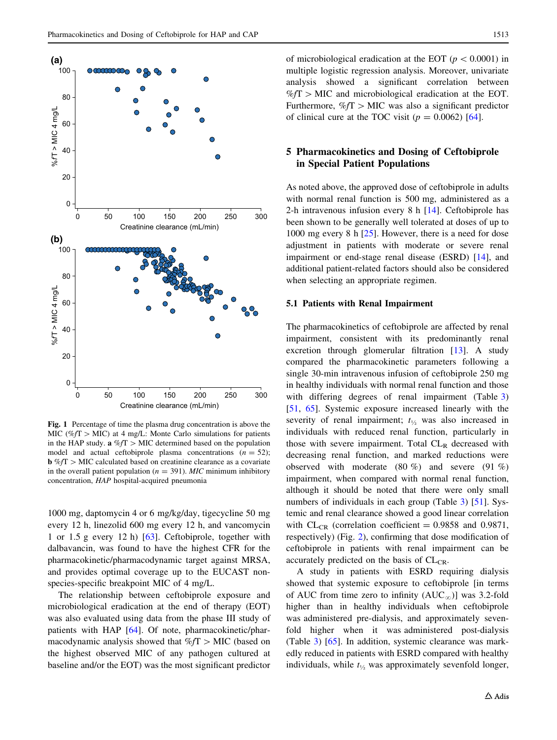<span id="page-6-0"></span>

Fig. 1 Percentage of time the plasma drug concentration is above the MIC (% $fT >$  MIC) at 4 mg/L: Monte Carlo simulations for patients in the HAP study.  $\mathbf{a} \% f \mathbf{T} > \text{MIC}$  determined based on the population model and actual ceftobiprole plasma concentrations  $(n = 52)$ ;  $\mathbf{b} \% f \mathbf{T} > \text{MIC}$  calculated based on creatinine clearance as a covariate in the overall patient population ( $n = 391$ ). MIC minimum inhibitory concentration, HAP hospital-acquired pneumonia

1000 mg, daptomycin 4 or 6 mg/kg/day, tigecycline 50 mg every 12 h, linezolid 600 mg every 12 h, and vancomycin 1 or 1.5 g every 12 h) [[63\]](#page-13-0). Ceftobiprole, together with dalbavancin, was found to have the highest CFR for the pharmacokinetic/pharmacodynamic target against MRSA, and provides optimal coverage up to the EUCAST nonspecies-specific breakpoint MIC of 4 mg/L.

The relationship between ceftobiprole exposure and microbiological eradication at the end of therapy (EOT) was also evaluated using data from the phase III study of patients with HAP [[64\]](#page-13-0). Of note, pharmacokinetic/pharmacodynamic analysis showed that  $\%fT >$  MIC (based on the highest observed MIC of any pathogen cultured at baseline and/or the EOT) was the most significant predictor of microbiological eradication at the EOT ( $p < 0.0001$ ) in multiple logistic regression analysis. Moreover, univariate analysis showed a significant correlation between  $\%fT >$  MIC and microbiological eradication at the EOT. Furthermore,  $\%f$   $\Gamma$   $>$  MIC was also a significant predictor of clinical cure at the TOC visit ( $p = 0.0062$ ) [[64](#page-13-0)].

## 5 Pharmacokinetics and Dosing of Ceftobiprole in Special Patient Populations

As noted above, the approved dose of ceftobiprole in adults with normal renal function is 500 mg, administered as a 2-h intravenous infusion every 8 h [[14\]](#page-12-0). Ceftobiprole has been shown to be generally well tolerated at doses of up to 1000 mg every 8 h [\[25\]](#page-12-0). However, there is a need for dose adjustment in patients with moderate or severe renal impairment or end-stage renal disease (ESRD) [[14\]](#page-12-0), and additional patient-related factors should also be considered when selecting an appropriate regimen.

#### 5.1 Patients with Renal Impairment

The pharmacokinetics of ceftobiprole are affected by renal impairment, consistent with its predominantly renal excretion through glomerular filtration [\[13](#page-12-0)]. A study compared the pharmacokinetic parameters following a single 30-min intravenous infusion of ceftobiprole 250 mg in healthy individuals with normal renal function and those with differing degrees of renal impairment (Table [3\)](#page-7-0) [\[51](#page-13-0), [65\]](#page-13-0). Systemic exposure increased linearly with the severity of renal impairment;  $t_{\frac{1}{2}}$  was also increased in individuals with reduced renal function, particularly in those with severe impairment. Total  $CL<sub>R</sub>$  decreased with decreasing renal function, and marked reductions were observed with moderate (80 %) and severe (91 %) impairment, when compared with normal renal function, although it should be noted that there were only small numbers of individuals in each group (Table [3](#page-7-0)) [\[51](#page-13-0)]. Systemic and renal clearance showed a good linear correlation with  $CL_{CR}$  (correlation coefficient = 0.9858 and 0.9871, respectively) (Fig. [2](#page-7-0)), confirming that dose modification of ceftobiprole in patients with renal impairment can be accurately predicted on the basis of  $CL_{CR}$ .

A study in patients with ESRD requiring dialysis showed that systemic exposure to ceftobiprole [in terms of AUC from time zero to infinity  $(AUC_{\infty})$ ] was 3.2-fold higher than in healthy individuals when ceftobiprole was administered pre-dialysis, and approximately sevenfold higher when it was administered post-dialysis (Table [3\)](#page-7-0) [[65\]](#page-13-0). In addition, systemic clearance was markedly reduced in patients with ESRD compared with healthy individuals, while  $t_{\frac{1}{2}}$  was approximately sevenfold longer,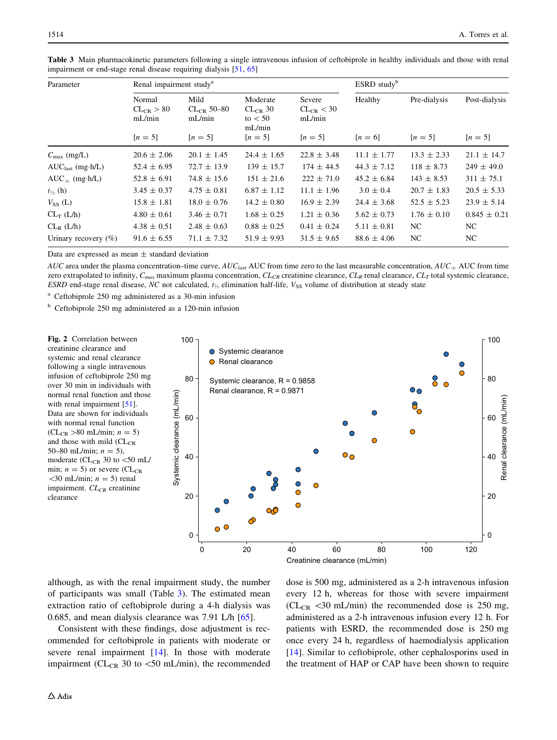| Parameter               | Renal impairment study <sup>a</sup> |                                |                                                 | $ESRD$ study <sup>b</sup>          |                 |                 |                  |
|-------------------------|-------------------------------------|--------------------------------|-------------------------------------------------|------------------------------------|-----------------|-----------------|------------------|
|                         | Normal<br>$CL_{CR} > 80$<br>mL/min  | Mild<br>$CLCR 50-80$<br>mL/min | Moderate<br>$CL_{CR}$ 30<br>to $< 50$<br>mL/min | Severe<br>$CL_{CR}$ < 30<br>mL/min | Healthy         | Pre-dialysis    | Post-dialysis    |
|                         | $[n = 5]$                           | $[n = 5]$                      | $[n = 5]$                                       | $[n = 5]$                          | $[n = 6]$       | $[n = 5]$       | $[n = 5]$        |
| $C_{\text{max}}$ (mg/L) | $20.6 \pm 2.06$                     | $20.1 \pm 1.45$                | $24.4 \pm 1.65$                                 | $22.8 \pm 3.48$                    | $11.1 \pm 1.77$ | $13.3 \pm 2.33$ | $21.1 \pm 14.7$  |
| $AUClast$ (mg·h/L)      | $52.4 \pm 6.95$                     | $72.7 \pm 13.9$                | $139 \pm 15.7$                                  | $174 \pm 44.5$                     | $44.3 \pm 7.12$ | $118 \pm 8.73$  | $249 \pm 49.0$   |
| $AUC_{\infty}$ (mg·h/L) | $52.8 \pm 6.91$                     | $74.8 \pm 15.6$                | $151 \pm 21.6$                                  | $222 \pm 71.0$                     | $45.2 \pm 6.84$ | $143 \pm 8.53$  | $311 \pm 75.1$   |
| $t_{\frac{1}{2}}$ (h)   | $3.45 \pm 0.37$                     | $4.75 \pm 0.81$                | $6.87 \pm 1.12$                                 | $11.1 \pm 1.96$                    | $3.0 \pm 0.4$   | $20.7 \pm 1.83$ | $20.5 \pm 5.33$  |
| $V_{SS}$ (L)            | $15.8 \pm 1.81$                     | $18.0 \pm 0.76$                | $14.2 \pm 0.80$                                 | $16.9 \pm 2.39$                    | $24.4 \pm 3.68$ | $52.5 \pm 5.23$ | $23.9 \pm 5.14$  |
| $CL_T (L/h)$            | $4.80 \pm 0.61$                     | $3.46 \pm 0.71$                | $1.68 \pm 0.25$                                 | $1.21 \pm 0.36$                    | $5.62 \pm 0.73$ | $1.76 \pm 0.10$ | $0.845 \pm 0.21$ |
| $CL_R$ ( $L/h$ )        | $4.38 \pm 0.51$                     | $2.48 \pm 0.63$                | $0.88 \pm 0.25$                                 | $0.41 \pm 0.24$                    | $5.11 \pm 0.81$ | NC.             | NC.              |
| Urinary recovery $(\%)$ | $91.6 \pm 6.55$                     | $71.1 \pm 7.32$                | $51.9 \pm 9.93$                                 | $31.5 \pm 9.65$                    | $88.6 \pm 4.06$ | NC.             | NC.              |

<span id="page-7-0"></span>Table 3 Main pharmacokinetic parameters following a single intravenous infusion of ceftobiprole in healthy individuals and those with renal impairment or end-stage renal disease requiring dialysis [\[51,](#page-13-0) [65\]](#page-13-0)

Data are expressed as mean  $\pm$  standard deviation

AUC area under the plasma concentration–time curve, AUC<sub>last</sub> AUC from time zero to the last measurable concentration, AUC<sub>∞</sub> AUC from time zero extrapolated to infinity,  $C_{max}$  maximum plasma concentration,  $CL_{CR}$  creatinine clearance,  $CL_R$  renal clearance,  $CL_T$  total systemic clearance, ESRD end-stage renal disease, NC not calculated,  $t_{\gamma_2}$  elimination half-life,  $V_{SS}$  volume of distribution at steady state

<sup>a</sup> Ceftobiprole 250 mg administered as a 30-min infusion

<sup>b</sup> Ceftobiprole 250 mg administered as a 120-min infusion

Fig. 2 Correlation between creatinine clearance and systemic and renal clearance following a single intravenous infusion of ceftobiprole 250 mg over 30 min in individuals with normal renal function and those with renal impairment [[51](#page-13-0)]. Data are shown for individuals with normal renal function  $(CL_{CR} > 80 \text{ mL/min}; n = 5)$ and those with mild (CL<sub>CR</sub> 50–80 mL/min;  $n = 5$ ), moderate ( $CL_{CR}$  30 to  $<$ 50 mL/ min;  $n = 5$ ) or severe (CL<sub>CR</sub>  $\langle 30 \text{ mL/min}; n = 5 \rangle$  renal impairment.  $CL_{CR}$  creatinine clearance



although, as with the renal impairment study, the number of participants was small (Table 3). The estimated mean extraction ratio of ceftobiprole during a 4-h dialysis was 0.685, and mean dialysis clearance was 7.91 L/h [\[65](#page-13-0)].

Consistent with these findings, dose adjustment is recommended for ceftobiprole in patients with moderate or severe renal impairment [\[14\]](#page-12-0). In those with moderate impairment ( $CL_{CR}$  30 to  $\lt$  50 mL/min), the recommended dose is 500 mg, administered as a 2-h intravenous infusion every 12 h, whereas for those with severe impairment ( $CL_{CR}$  <30 mL/min) the recommended dose is 250 mg, administered as a 2-h intravenous infusion every 12 h. For patients with ESRD, the recommended dose is 250 mg once every 24 h, regardless of haemodialysis application [\[14](#page-12-0)]. Similar to ceftobiprole, other cephalosporins used in the treatment of HAP or CAP have been shown to require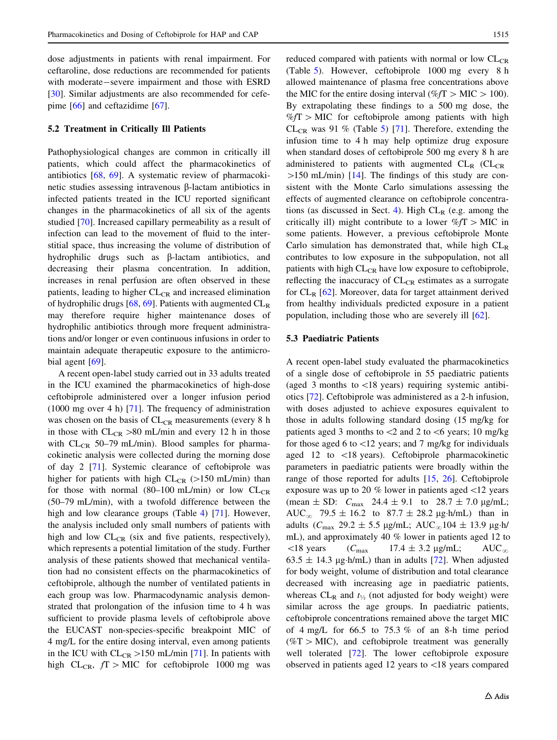dose adjustments in patients with renal impairment. For ceftaroline, dose reductions are recommended for patients with moderate-severe impairment and those with ESRD [\[30](#page-12-0)]. Similar adjustments are also recommended for cefepime [[66\]](#page-13-0) and ceftazidime [[67\]](#page-13-0).

## 5.2 Treatment in Critically Ill Patients

Pathophysiological changes are common in critically ill patients, which could affect the pharmacokinetics of antibiotics [\[68](#page-13-0), [69\]](#page-13-0). A systematic review of pharmacokinetic studies assessing intravenous β-lactam antibiotics in infected patients treated in the ICU reported significant changes in the pharmacokinetics of all six of the agents studied [\[70](#page-13-0)]. Increased capillary permeability as a result of infection can lead to the movement of fluid to the interstitial space, thus increasing the volume of distribution of hydrophilic drugs such as  $\beta$ -lactam antibiotics, and decreasing their plasma concentration. In addition, increases in renal perfusion are often observed in these patients, leading to higher  $CL_{CR}$  and increased elimination of hydrophilic drugs [[68,](#page-13-0) [69\]](#page-13-0). Patients with augmented  $CL<sub>R</sub>$ may therefore require higher maintenance doses of hydrophilic antibiotics through more frequent administrations and/or longer or even continuous infusions in order to maintain adequate therapeutic exposure to the antimicro-bial agent [[69\]](#page-13-0).

A recent open-label study carried out in 33 adults treated in the ICU examined the pharmacokinetics of high-dose ceftobiprole administered over a longer infusion period (1000 mg over 4 h) [\[71](#page-13-0)]. The frequency of administration was chosen on the basis of  $CL_{CR}$  measurements (every 8 h in those with  $CL_{CR} > 80$  mL/min and every 12 h in those with  $CL_{CR}$  50–79 mL/min). Blood samples for pharmacokinetic analysis were collected during the morning dose of day 2 [[71\]](#page-13-0). Systemic clearance of ceftobiprole was higher for patients with high  $CL_{CR}$  ( $>150$  mL/min) than for those with normal (80–100 mL/min) or low  $CL_{CR}$ (50–79 mL/min), with a twofold difference between the high and low clearance groups (Table [4](#page-9-0)) [[71\]](#page-13-0). However, the analysis included only small numbers of patients with high and low  $CL_{CR}$  (six and five patients, respectively), which represents a potential limitation of the study. Further analysis of these patients showed that mechanical ventilation had no consistent effects on the pharmacokinetics of ceftobiprole, although the number of ventilated patients in each group was low. Pharmacodynamic analysis demonstrated that prolongation of the infusion time to 4 h was sufficient to provide plasma levels of ceftobiprole above the EUCAST non-species-specific breakpoint MIC of 4 mg/L for the entire dosing interval, even among patients in the ICU with  $CL_{CR} > 150$  mL/min [\[71](#page-13-0)]. In patients with high CL<sub>CR</sub>,  $fT >$ MIC for ceftobiprole 1000 mg was reduced compared with patients with normal or low  $CL_{CR}$ (Table [5\)](#page-9-0). However, ceftobiprole 1000 mg every 8 h allowed maintenance of plasma free concentrations above the MIC for the entire dosing interval (% $fT > MIC > 100$ ). By extrapolating these findings to a 500 mg dose, the  $\%fT$  > MIC for ceftobiprole among patients with high  $CL_{CR}$  was 91 % (Table [5](#page-9-0)) [[71\]](#page-13-0). Therefore, extending the infusion time to 4 h may help optimize drug exposure when standard doses of ceftobiprole 500 mg every 8 h are administered to patients with augmented  $CL<sub>R</sub>$  ( $CL<sub>CR</sub>$ )  $>150$  mL/min) [\[14](#page-12-0)]. The findings of this study are consistent with the Monte Carlo simulations assessing the effects of augmented clearance on ceftobiprole concentra-tions (as discussed in Sect. [4\)](#page-4-0). High  $CL_R$  (e.g. among the critically ill) might contribute to a lower  $\%fT >$  MIC in some patients. However, a previous ceftobiprole Monte Carlo simulation has demonstrated that, while high  $CL<sub>R</sub>$ contributes to low exposure in the subpopulation, not all patients with high  $CL_{CR}$  have low exposure to ceftobiprole, reflecting the inaccuracy of  $CL_{CR}$  estimates as a surrogate for  $CL_R$  [[62\]](#page-13-0). Moreover, data for target attainment derived from healthy individuals predicted exposure in a patient population, including those who are severely ill [\[62](#page-13-0)].

## 5.3 Paediatric Patients

A recent open-label study evaluated the pharmacokinetics of a single dose of ceftobiprole in 55 paediatric patients (aged 3 months to  $\langle 18 \rangle$  years) requiring systemic antibiotics [\[72\]](#page-13-0). Ceftobiprole was administered as a 2-h infusion, with doses adjusted to achieve exposures equivalent to those in adults following standard dosing (15 mg/kg for patients aged 3 months to  $\lt 2$  and 2 to  $\lt 6$  years; 10 mg/kg for those aged 6 to  $\langle 12 \rangle$  years; and 7 mg/kg for individuals aged 12 to  $\langle 18 \rangle$  years). Ceftobiprole pharmacokinetic parameters in paediatric patients were broadly within the range of those reported for adults [\[15,](#page-12-0) [26](#page-12-0)]. Ceftobiprole exposure was up to 20  $\%$  lower in patients aged  $\langle 12 \rangle$  years (mean  $\pm$  SD:  $C_{\text{max}}$  24.4  $\pm$  9.1 to 28.7  $\pm$  7.0 µg/mL; AUC<sub>∞</sub> 79.5  $\pm$  16.2 to 87.7  $\pm$  28.2 µg·h/mL) than in adults ( $C_{\text{max}}$  29.2  $\pm$  5.5 µg/mL; AUC<sub>∞</sub>104  $\pm$  13.9 µg·h/ mL), and approximately 40 % lower in patients aged 12 to  $\langle 18 \text{ years}$   $(C_{\text{max}}$  17.4  $\pm$  3.2 µg/mL; AUC<sub>∞</sub>  $63.5 \pm 14.3$  µg·h/mL) than in adults [[72\]](#page-13-0). When adjusted for body weight, volume of distribution and total clearance decreased with increasing age in paediatric patients, whereas  $CL_R$  and  $t_{1/2}$  (not adjusted for body weight) were similar across the age groups. In paediatric patients, ceftobiprole concentrations remained above the target MIC of  $4 \text{ mg/L}$  for 66.5 to 75.3 % of an 8-h time period  $(\%T>MIC)$ , and ceftobiprole treatment was generally well tolerated [\[72](#page-13-0)]. The lower ceftobiprole exposure observed in patients aged 12 years to  $\langle 18 \rangle$  years compared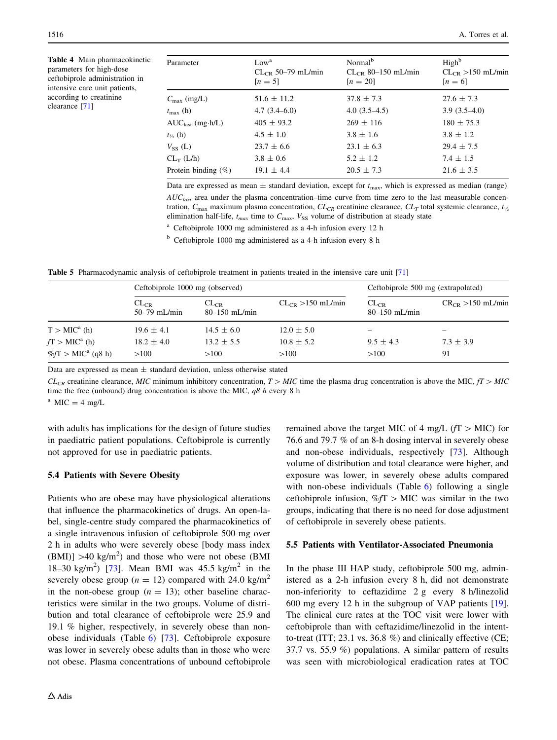<span id="page-9-0"></span>Table 4 Main pharmacokinetic parameters for high-dose ceftobiprole administration in intensive care unit patients, according to creatinine clearance [[71](#page-13-0)]

| Parameter               | Low <sup>a</sup><br>$CL_{CR}$ 50–79 mL/min<br>$[n = 5]$ | Normal <sup>b</sup><br>$CLCR$ 80–150 mL/min<br>$[n = 20]$ | High <sup>b</sup><br>$CL_{CR} > 150$ mL/min<br>$[n = 6]$ |
|-------------------------|---------------------------------------------------------|-----------------------------------------------------------|----------------------------------------------------------|
| $C_{\text{max}}$ (mg/L) | $51.6 \pm 11.2$                                         | $37.8 \pm 7.3$                                            | $27.6 \pm 7.3$                                           |
| $t_{\rm max}$ (h)       | $4.7(3.4-6.0)$                                          | $4.0(3.5-4.5)$                                            | $3.9(3.5-4.0)$                                           |
| $AUClast$ (mg·h/L)      | $405 \pm 93.2$                                          | $269 \pm 116$                                             | $180 \pm 75.3$                                           |
| $t_{\frac{1}{2}}$ (h)   | $4.5 \pm 1.0$                                           | $3.8 \pm 1.6$                                             | $3.8 \pm 1.2$                                            |
| $V_{SS}$ (L)            | $23.7 \pm 6.6$                                          | $23.1 \pm 6.3$                                            | $29.4 \pm 7.5$                                           |
| $CL_T(L/h)$             | $3.8 \pm 0.6$                                           | $5.2 \pm 1.2$                                             | $7.4 \pm 1.5$                                            |
| Protein binding $(\%)$  | $19.1 \pm 4.4$                                          | $20.5 \pm 7.3$                                            | $21.6 \pm 3.5$                                           |

Data are expressed as mean  $\pm$  standard deviation, except for  $t_{\text{max}}$ , which is expressed as median (range)  $AUC_{last}$  area under the plasma concentration–time curve from time zero to the last measurable concentration,  $C_{\text{max}}$  maximum plasma concentration,  $CL_{CR}$  creatinine clearance,  $CL_T$  total systemic clearance,  $t_{1/2}$ elimination half-life,  $t_{max}$  time to  $C_{max}$ ,  $V_{SS}$  volume of distribution at steady state

<sup>a</sup> Ceftobiprole 1000 mg administered as a 4-h infusion every 12 h  $<sup>b</sup>$  Ceftobiprole 1000 mg administered as a 4-h infusion every 8 h</sup>

Table 5 Pharmacodynamic analysis of ceftobiprole treatment in patients treated in the intensive care unit [[71](#page-13-0)]

|                                   | Ceftobiprole 1000 mg (observed) |                                |                        | Ceftobiprole 500 mg (extrapolated) |                        |  |  |
|-----------------------------------|---------------------------------|--------------------------------|------------------------|------------------------------------|------------------------|--|--|
|                                   | $CL_{CR}$<br>$50-79$ mL/min     | $CL_{CR}$<br>$80 - 150$ mL/min | $CL_{CR} > 150$ mL/min | $CL_{CR}$<br>$80 - 150$ mL/min     | $CR_{CR} > 150$ mL/min |  |  |
| $T > MIC^a(h)$                    | $19.6 \pm 4.1$                  | $14.5 \pm 6.0$                 | $12.0 \pm 5.0$         |                                    |                        |  |  |
| $fT > MIC^a(h)$                   | $18.2 \pm 4.0$                  | $13.2 \pm 5.5$                 | $10.8 \pm 5.2$         | $9.5 \pm 4.3$                      | $7.3 \pm 3.9$          |  |  |
| $\%f$ T > MIC <sup>a</sup> (q8 h) | >100                            | >100                           | >100                   | >100                               | 91                     |  |  |

Data are expressed as mean  $\pm$  standard deviation, unless otherwise stated

t-

 $CL_{CR}$  creatinine clearance, MIC minimum inhibitory concentration,  $T > MIC$  time the plasma drug concentration is above the MIC,  $fT > MIC$ time the free (unbound) drug concentration is above the MIC,  $q8 h$  every 8 h

 $^{\rm a}$  MIC = 4 mg/L

with adults has implications for the design of future studies in paediatric patient populations. Ceftobiprole is currently not approved for use in paediatric patients.

#### 5.4 Patients with Severe Obesity

Patients who are obese may have physiological alterations that influence the pharmacokinetics of drugs. An open-label, single-centre study compared the pharmacokinetics of a single intravenous infusion of ceftobiprole 500 mg over 2 h in adults who were severely obese [body mass index  $(BMI)$  >40 kg/m<sup>2</sup>) and those who were not obese (BMI 18-30 kg/m<sup>2</sup>) [\[73](#page-13-0)]. Mean BMI was  $45.5$  kg/m<sup>2</sup> in the severely obese group ( $n = 12$ ) compared with 24.0 kg/m<sup>2</sup> in the non-obese group  $(n = 13)$ ; other baseline characteristics were similar in the two groups. Volume of distribution and total clearance of ceftobiprole were 25.9 and 19.1 % higher, respectively, in severely obese than nonobese individuals (Table [6\)](#page-10-0) [[73\]](#page-13-0). Ceftobiprole exposure was lower in severely obese adults than in those who were not obese. Plasma concentrations of unbound ceftobiprole remained above the target MIC of 4 mg/L ( $fT >$  MIC) for 76.6 and 79.7 % of an 8-h dosing interval in severely obese and non-obese individuals, respectively [[73\]](#page-13-0). Although volume of distribution and total clearance were higher, and exposure was lower, in severely obese adults compared with non-obese individuals (Table [6\)](#page-10-0) following a single ceftobiprole infusion,  $\%fT > MIC$  was similar in the two groups, indicating that there is no need for dose adjustment of ceftobiprole in severely obese patients.

#### 5.5 Patients with Ventilator-Associated Pneumonia

In the phase III HAP study, ceftobiprole 500 mg, administered as a 2-h infusion every 8 h, did not demonstrate non-inferiority to ceftazidime 2 g every 8 h/linezolid 600 mg every 12 h in the subgroup of VAP patients [\[19](#page-12-0)]. The clinical cure rates at the TOC visit were lower with ceftobiprole than with ceftazidime/linezolid in the intentto-treat (ITT; 23.1 vs. 36.8 %) and clinically effective (CE; 37.7 vs. 55.9 %) populations. A similar pattern of results was seen with microbiological eradication rates at TOC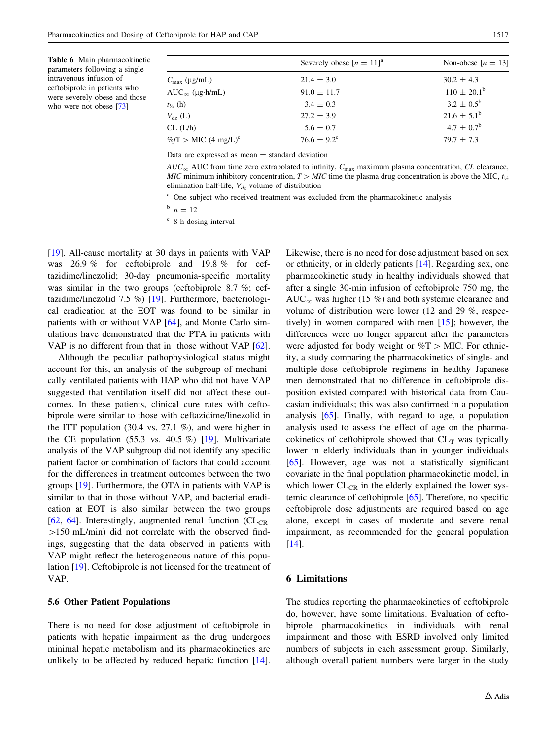<span id="page-10-0"></span>

| <b>Table 6</b> Main pharmacokinetic |
|-------------------------------------|
| parameters following a single       |
| intravenous infusion of             |
| ceftobiprole in patients who        |
| were severely obese and those       |
| who were not obese $[73]$           |

|                                     | Severely obese $[n = 11]^a$ | Non-obese $[n = 13]$   |
|-------------------------------------|-----------------------------|------------------------|
| $C_{\text{max}}$ (µg/mL)            | $21.4 \pm 3.0$              | $30.2 \pm 4.3$         |
| $AUC_{\infty}$ (µg.h/mL)            | $91.0 \pm 11.7$             | $110 \pm 20.1^{\rm b}$ |
| $t_{\frac{1}{2}}$ (h)               | $3.4 \pm 0.3$               | $3.2 \pm 0.5^{\rm b}$  |
| $V_{dz}$ (L)                        | $27.2 \pm 3.9$              | $21.6 \pm 5.1^{\rm b}$ |
| CL (L/h)                            | $5.6 \pm 0.7$               | $4.7 \pm 0.7^{\rm b}$  |
| $\%f$ T > MIC (4 mg/L) <sup>c</sup> | $76.6 \pm 9.2^{\circ}$      | $79.7 \pm 7.3$         |

Data are expressed as mean  $\pm$  standard deviation

 $AUC_{\infty}$  AUC from time zero extrapolated to infinity,  $C_{\text{max}}$  maximum plasma concentration, CL clearance, MIC minimum inhibitory concentration,  $T >$  MIC time the plasma drug concentration is above the MIC,  $t_{\nu}$ elimination half-life,  $V_{dz}$  volume of distribution

<sup>a</sup> One subject who received treatment was excluded from the pharmacokinetic analysis

 $h \ n = 12$ 

<sup>c</sup> 8-h dosing interval

[\[19](#page-12-0)]. All-cause mortality at 30 days in patients with VAP was 26.9 % for ceftobiprole and 19.8 % for ceftazidime/linezolid; 30-day pneumonia-specific mortality was similar in the two groups (ceftobiprole 8.7 %; ceftazidime/linezolid 7.5 %) [[19\]](#page-12-0). Furthermore, bacteriological eradication at the EOT was found to be similar in patients with or without VAP [\[64](#page-13-0)], and Monte Carlo simulations have demonstrated that the PTA in patients with VAP is no different from that in those without VAP [\[62](#page-13-0)].

Although the peculiar pathophysiological status might account for this, an analysis of the subgroup of mechanically ventilated patients with HAP who did not have VAP suggested that ventilation itself did not affect these outcomes. In these patients, clinical cure rates with ceftobiprole were similar to those with ceftazidime/linezolid in the ITT population (30.4 vs. 27.1 %), and were higher in the CE population  $(55.3 \text{ vs. } 40.5 \%)$  [\[19](#page-12-0)]. Multivariate analysis of the VAP subgroup did not identify any specific patient factor or combination of factors that could account for the differences in treatment outcomes between the two groups [\[19](#page-12-0)]. Furthermore, the OTA in patients with VAP is similar to that in those without VAP, and bacterial eradication at EOT is also similar between the two groups [\[62](#page-13-0), [64](#page-13-0)]. Interestingly, augmented renal function  $CL_{CR}$  $>150$  mL/min) did not correlate with the observed findings, suggesting that the data observed in patients with VAP might reflect the heterogeneous nature of this population [[19\]](#page-12-0). Ceftobiprole is not licensed for the treatment of VAP.

## 5.6 Other Patient Populations

There is no need for dose adjustment of ceftobiprole in patients with hepatic impairment as the drug undergoes minimal hepatic metabolism and its pharmacokinetics are unlikely to be affected by reduced hepatic function [\[14](#page-12-0)].

Likewise, there is no need for dose adjustment based on sex or ethnicity, or in elderly patients [[14\]](#page-12-0). Regarding sex, one pharmacokinetic study in healthy individuals showed that after a single 30-min infusion of ceftobiprole 750 mg, the  $AUC_{\infty}$  was higher (15 %) and both systemic clearance and volume of distribution were lower (12 and 29 %, respectively) in women compared with men [[15\]](#page-12-0); however, the differences were no longer apparent after the parameters were adjusted for body weight or  $\%T >$  MIC. For ethnicity, a study comparing the pharmacokinetics of single- and multiple-dose ceftobiprole regimens in healthy Japanese men demonstrated that no difference in ceftobiprole disposition existed compared with historical data from Caucasian individuals; this was also confirmed in a population analysis [[65\]](#page-13-0). Finally, with regard to age, a population analysis used to assess the effect of age on the pharmacokinetics of ceftobiprole showed that  $CL<sub>T</sub>$  was typically lower in elderly individuals than in younger individuals [\[65](#page-13-0)]. However, age was not a statistically significant covariate in the final population pharmacokinetic model, in which lower  $CL_{CR}$  in the elderly explained the lower systemic clearance of ceftobiprole [[65\]](#page-13-0). Therefore, no specific ceftobiprole dose adjustments are required based on age alone, except in cases of moderate and severe renal impairment, as recommended for the general population [\[14](#page-12-0)].

#### 6 Limitations

The studies reporting the pharmacokinetics of ceftobiprole do, however, have some limitations. Evaluation of ceftobiprole pharmacokinetics in individuals with renal impairment and those with ESRD involved only limited numbers of subjects in each assessment group. Similarly, although overall patient numbers were larger in the study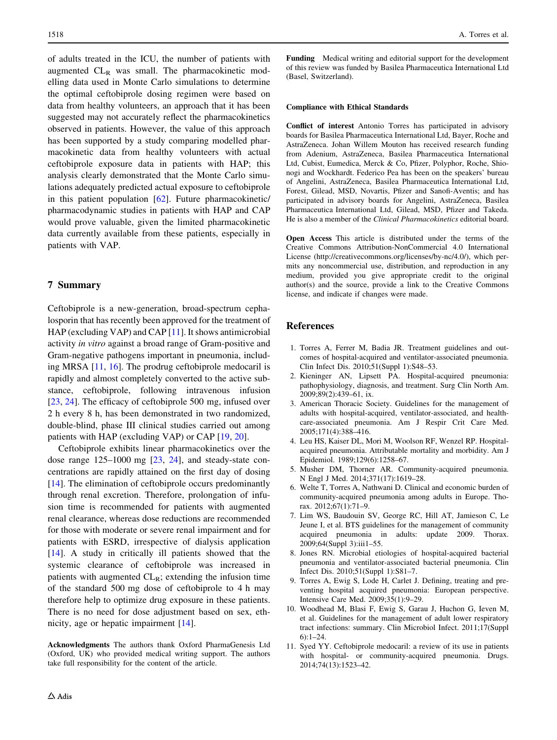<span id="page-11-0"></span>of adults treated in the ICU, the number of patients with augmented  $CL_R$  was small. The pharmacokinetic modelling data used in Monte Carlo simulations to determine the optimal ceftobiprole dosing regimen were based on data from healthy volunteers, an approach that it has been suggested may not accurately reflect the pharmacokinetics observed in patients. However, the value of this approach has been supported by a study comparing modelled pharmacokinetic data from healthy volunteers with actual ceftobiprole exposure data in patients with HAP; this analysis clearly demonstrated that the Monte Carlo simulations adequately predicted actual exposure to ceftobiprole in this patient population [\[62](#page-13-0)]. Future pharmacokinetic/ pharmacodynamic studies in patients with HAP and CAP would prove valuable, given the limited pharmacokinetic data currently available from these patients, especially in patients with VAP.

## 7 Summary

Ceftobiprole is a new-generation, broad-spectrum cephalosporin that has recently been approved for the treatment of HAP (excluding VAP) and CAP [11]. It shows antimicrobial activity in vitro against a broad range of Gram-positive and Gram-negative pathogens important in pneumonia, including MRSA [11, [16](#page-12-0)]. The prodrug ceftobiprole medocaril is rapidly and almost completely converted to the active substance, ceftobiprole, following intravenous infusion [\[23](#page-12-0), [24\]](#page-12-0). The efficacy of ceftobiprole 500 mg, infused over 2 h every 8 h, has been demonstrated in two randomized, double-blind, phase III clinical studies carried out among patients with HAP (excluding VAP) or CAP [[19,](#page-12-0) [20\]](#page-12-0).

Ceftobiprole exhibits linear pharmacokinetics over the dose range 125–1000 mg [[23,](#page-12-0) [24\]](#page-12-0), and steady-state concentrations are rapidly attained on the first day of dosing [\[14](#page-12-0)]. The elimination of ceftobiprole occurs predominantly through renal excretion. Therefore, prolongation of infusion time is recommended for patients with augmented renal clearance, whereas dose reductions are recommended for those with moderate or severe renal impairment and for patients with ESRD, irrespective of dialysis application [\[14](#page-12-0)]. A study in critically ill patients showed that the systemic clearance of ceftobiprole was increased in patients with augmented  $CL_R$ ; extending the infusion time of the standard 500 mg dose of ceftobiprole to 4 h may therefore help to optimize drug exposure in these patients. There is no need for dose adjustment based on sex, ethnicity, age or hepatic impairment [[14\]](#page-12-0).

Acknowledgments The authors thank Oxford PharmaGenesis Ltd (Oxford, UK) who provided medical writing support. The authors take full responsibility for the content of the article.

Funding Medical writing and editorial support for the development of this review was funded by Basilea Pharmaceutica International Ltd (Basel, Switzerland).

#### Compliance with Ethical Standards

Conflict of interest Antonio Torres has participated in advisory boards for Basilea Pharmaceutica International Ltd, Bayer, Roche and AstraZeneca. Johan Willem Mouton has received research funding from Adenium, AstraZeneca, Basilea Pharmaceutica International Ltd, Cubist, Eumedica, Merck & Co, Pfizer, Polyphor, Roche, Shionogi and Wockhardt. Federico Pea has been on the speakers' bureau of Angelini, AstraZeneca, Basilea Pharmaceutica International Ltd, Forest, Gilead, MSD, Novartis, Pfizer and Sanofi-Aventis; and has participated in advisory boards for Angelini, AstraZeneca, Basilea Pharmaceutica International Ltd, Gilead, MSD, Pfizer and Takeda. He is also a member of the Clinical Pharmacokinetics editorial board.

Open Access This article is distributed under the terms of the Creative Commons Attribution-NonCommercial 4.0 International License (http://creativecommons.org/licenses/by-nc/4.0/), which permits any noncommercial use, distribution, and reproduction in any medium, provided you give appropriate credit to the original author(s) and the source, provide a link to the Creative Commons license, and indicate if changes were made.

## References

- 1. Torres A, Ferrer M, Badia JR. Treatment guidelines and outcomes of hospital-acquired and ventilator-associated pneumonia. Clin Infect Dis. 2010;51(Suppl 1):S48–53.
- 2. Kieninger AN, Lipsett PA. Hospital-acquired pneumonia: pathophysiology, diagnosis, and treatment. Surg Clin North Am. 2009;89(2):439–61, ix.
- 3. American Thoracic Society. Guidelines for the management of adults with hospital-acquired, ventilator-associated, and healthcare-associated pneumonia. Am J Respir Crit Care Med. 2005;171(4):388–416.
- 4. Leu HS, Kaiser DL, Mori M, Woolson RF, Wenzel RP. Hospitalacquired pneumonia. Attributable mortality and morbidity. Am J Epidemiol. 1989;129(6):1258–67.
- 5. Musher DM, Thorner AR. Community-acquired pneumonia. N Engl J Med. 2014;371(17):1619–28.
- 6. Welte T, Torres A, Nathwani D. Clinical and economic burden of community-acquired pneumonia among adults in Europe. Thorax. 2012;67(1):71–9.
- 7. Lim WS, Baudouin SV, George RC, Hill AT, Jamieson C, Le Jeune I, et al. BTS guidelines for the management of community acquired pneumonia in adults: update 2009. Thorax. 2009;64(Suppl 3):iii1–55.
- 8. Jones RN. Microbial etiologies of hospital-acquired bacterial pneumonia and ventilator-associated bacterial pneumonia. Clin Infect Dis. 2010;51(Suppl 1):S81–7.
- 9. Torres A, Ewig S, Lode H, Carlet J. Defining, treating and preventing hospital acquired pneumonia: European perspective. Intensive Care Med. 2009;35(1):9–29.
- 10. Woodhead M, Blasi F, Ewig S, Garau J, Huchon G, Ieven M, et al. Guidelines for the management of adult lower respiratory tract infections: summary. Clin Microbiol Infect. 2011;17(Suppl  $6:1-24$ .
- 11. Syed YY. Ceftobiprole medocaril: a review of its use in patients with hospital- or community-acquired pneumonia. Drugs. 2014;74(13):1523–42.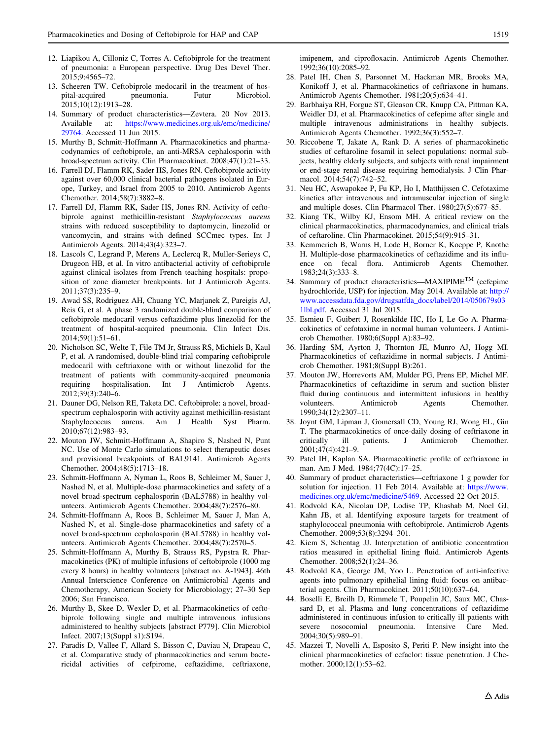- <span id="page-12-0"></span>12. Liapikou A, Cilloniz C, Torres A. Ceftobiprole for the treatment of pneumonia: a European perspective. Drug Des Devel Ther. 2015;9:4565–72.
- 13. Scheeren TW. Ceftobiprole medocaril in the treatment of hospital-acquired pneumonia. Futur Microbiol. 2015;10(12):1913–28.
- 14. Summary of product characteristics—Zevtera. 20 Nov 2013. Available at: [https://www.medicines.org.uk/emc/medicine/](https://www.medicines.org.uk/emc/medicine/29764) [29764.](https://www.medicines.org.uk/emc/medicine/29764) Accessed 11 Jun 2015.
- 15. Murthy B, Schmitt-Hoffmann A. Pharmacokinetics and pharmacodynamics of ceftobiprole, an anti-MRSA cephalosporin with broad-spectrum activity. Clin Pharmacokinet. 2008;47(1):21–33.
- 16. Farrell DJ, Flamm RK, Sader HS, Jones RN. Ceftobiprole activity against over 60,000 clinical bacterial pathogens isolated in Europe, Turkey, and Israel from 2005 to 2010. Antimicrob Agents Chemother. 2014;58(7):3882–8.
- 17. Farrell DJ, Flamm RK, Sader HS, Jones RN. Activity of ceftobiprole against methicillin-resistant Staphylococcus aureus strains with reduced susceptibility to daptomycin, linezolid or vancomycin, and strains with defined SCCmec types. Int J Antimicrob Agents. 2014;43(4):323–7.
- 18. Lascols C, Legrand P, Merens A, Leclercq R, Muller-Serieys C, Drugeon HB, et al. In vitro antibacterial activity of ceftobiprole against clinical isolates from French teaching hospitals: proposition of zone diameter breakpoints. Int J Antimicrob Agents. 2011;37(3):235–9.
- 19. Awad SS, Rodriguez AH, Chuang YC, Marjanek Z, Pareigis AJ, Reis G, et al. A phase 3 randomized double-blind comparison of ceftobiprole medocaril versus ceftazidime plus linezolid for the treatment of hospital-acquired pneumonia. Clin Infect Dis. 2014;59(1):51–61.
- 20. Nicholson SC, Welte T, File TM Jr, Strauss RS, Michiels B, Kaul P, et al. A randomised, double-blind trial comparing ceftobiprole medocaril with ceftriaxone with or without linezolid for the treatment of patients with community-acquired pneumonia requiring hospitalisation. Int J Antimicrob Agents. 2012;39(3):240–6.
- 21. Dauner DG, Nelson RE, Taketa DC. Ceftobiprole: a novel, broadspectrum cephalosporin with activity against methicillin-resistant Staphylococcus aureus. Am J Health Syst Pharm. 2010;67(12):983–93.
- 22. Mouton JW, Schmitt-Hoffmann A, Shapiro S, Nashed N, Punt NC. Use of Monte Carlo simulations to select therapeutic doses and provisional breakpoints of BAL9141. Antimicrob Agents Chemother. 2004;48(5):1713–18.
- 23. Schmitt-Hoffmann A, Nyman L, Roos B, Schleimer M, Sauer J, Nashed N, et al. Multiple-dose pharmacokinetics and safety of a novel broad-spectrum cephalosporin (BAL5788) in healthy volunteers. Antimicrob Agents Chemother. 2004;48(7):2576–80.
- 24. Schmitt-Hoffmann A, Roos B, Schleimer M, Sauer J, Man A, Nashed N, et al. Single-dose pharmacokinetics and safety of a novel broad-spectrum cephalosporin (BAL5788) in healthy volunteers. Antimicrob Agents Chemother. 2004;48(7):2570–5.
- 25. Schmitt-Hoffmann A, Murthy B, Strauss RS, Pypstra R. Pharmacokinetics (PK) of multiple infusions of ceftobiprole (1000 mg every 8 hours) in healthy volunteers [abstract no. A-1943]. 46th Annual Interscience Conference on Antimicrobial Agents and Chemotherapy, American Society for Microbiology; 27–30 Sep 2006; San Francisco.
- 26. Murthy B, Skee D, Wexler D, et al. Pharmacokinetics of ceftobiprole following single and multiple intravenous infusions administered to healthy subjects [abstract P779]. Clin Microbiol Infect. 2007;13(Suppl s1):S194.
- 27. Paradis D, Vallee F, Allard S, Bisson C, Daviau N, Drapeau C, et al. Comparative study of pharmacokinetics and serum bactericidal activities of cefpirome, ceftazidime, ceftriaxone,

imipenem, and ciprofloxacin. Antimicrob Agents Chemother. 1992;36(10):2085–92.

- 28. Patel IH, Chen S, Parsonnet M, Hackman MR, Brooks MA, Konikoff J, et al. Pharmacokinetics of ceftriaxone in humans. Antimicrob Agents Chemother. 1981;20(5):634–41.
- 29. Barbhaiya RH, Forgue ST, Gleason CR, Knupp CA, Pittman KA, Weidler DJ, et al. Pharmacokinetics of cefepime after single and multiple intravenous administrations in healthy subjects. Antimicrob Agents Chemother. 1992;36(3):552–7.
- 30. Riccobene T, Jakate A, Rank D. A series of pharmacokinetic studies of ceftaroline fosamil in select populations: normal subjects, healthy elderly subjects, and subjects with renal impairment or end-stage renal disease requiring hemodialysis. J Clin Pharmacol. 2014;54(7):742–52.
- 31. Neu HC, Aswapokee P, Fu KP, Ho I, Matthijssen C. Cefotaxime kinetics after intravenous and intramuscular injection of single and multiple doses. Clin Pharmacol Ther. 1980;27(5):677–85.
- 32. Kiang TK, Wilby KJ, Ensom MH. A critical review on the clinical pharmacokinetics, pharmacodynamics, and clinical trials of ceftaroline. Clin Pharmacokinet. 2015;54(9):915–31.
- 33. Kemmerich B, Warns H, Lode H, Borner K, Koeppe P, Knothe H. Multiple-dose pharmacokinetics of ceftazidime and its influence on fecal flora. Antimicrob Agents Chemother. 1983;24(3):333–8.
- 34. Summary of product characteristics—MAXIPIMETM (cefepime hydrochloride, USP) for injection. May 2014. Available at: [http://](http://www.accessdata.fda.gov/drugsatfda_docs/label/2014/050679s031lbl.pdf) [www.accessdata.fda.gov/drugsatfda\\_docs/label/2014/050679s03](http://www.accessdata.fda.gov/drugsatfda_docs/label/2014/050679s031lbl.pdf) [1lbl.pdf](http://www.accessdata.fda.gov/drugsatfda_docs/label/2014/050679s031lbl.pdf). Accessed 31 Jul 2015.
- 35. Esmieu F, Guibert J, Rosenkilde HC, Ho I, Le Go A. Pharmacokinetics of cefotaxime in normal human volunteers. J Antimicrob Chemother. 1980;6(Suppl A):83–92.
- 36. Harding SM, Ayrton J, Thornton JE, Munro AJ, Hogg MI. Pharmacokinetics of ceftazidime in normal subjects. J Antimicrob Chemother. 1981;8(Suppl B):261.
- 37. Mouton JW, Horrevorts AM, Mulder PG, Prens EP, Michel MF. Pharmacokinetics of ceftazidime in serum and suction blister fluid during continuous and intermittent infusions in healthy volunteers. Antimicrob Agents Chemother. 1990;34(12):2307–11.
- 38. Joynt GM, Lipman J, Gomersall CD, Young RJ, Wong EL, Gin T. The pharmacokinetics of once-daily dosing of ceftriaxone in critically ill patients. J Antimicrob Chemother. 2001;47(4):421–9.
- 39. Patel IH, Kaplan SA. Pharmacokinetic profile of ceftriaxone in man. Am J Med. 1984;77(4C):17–25.
- 40. Summary of product characteristics—ceftriaxone 1 g powder for solution for injection. 11 Feb 2014. Available at: [https://www.](https://www.medicines.org.uk/emc/medicine/5469) [medicines.org.uk/emc/medicine/5469.](https://www.medicines.org.uk/emc/medicine/5469) Accessed 22 Oct 2015.
- 41. Rodvold KA, Nicolau DP, Lodise TP, Khashab M, Noel GJ, Kahn JB, et al. Identifying exposure targets for treatment of staphylococcal pneumonia with ceftobiprole. Antimicrob Agents Chemother. 2009;53(8):3294–301.
- 42. Kiem S, Schentag JJ. Interpretation of antibiotic concentration ratios measured in epithelial lining fluid. Antimicrob Agents Chemother. 2008;52(1):24–36.
- 43. Rodvold KA, George JM, Yoo L. Penetration of anti-infective agents into pulmonary epithelial lining fluid: focus on antibacterial agents. Clin Pharmacokinet. 2011;50(10):637–64.
- 44. Boselli E, Breilh D, Rimmele T, Poupelin JC, Saux MC, Chassard D, et al. Plasma and lung concentrations of ceftazidime administered in continuous infusion to critically ill patients with severe nosocomial pneumonia. Intensive Care Med. 2004;30(5):989–91.
- 45. Mazzei T, Novelli A, Esposito S, Periti P. New insight into the clinical pharmacokinetics of cefaclor: tissue penetration. J Chemother. 2000;12(1):53–62.